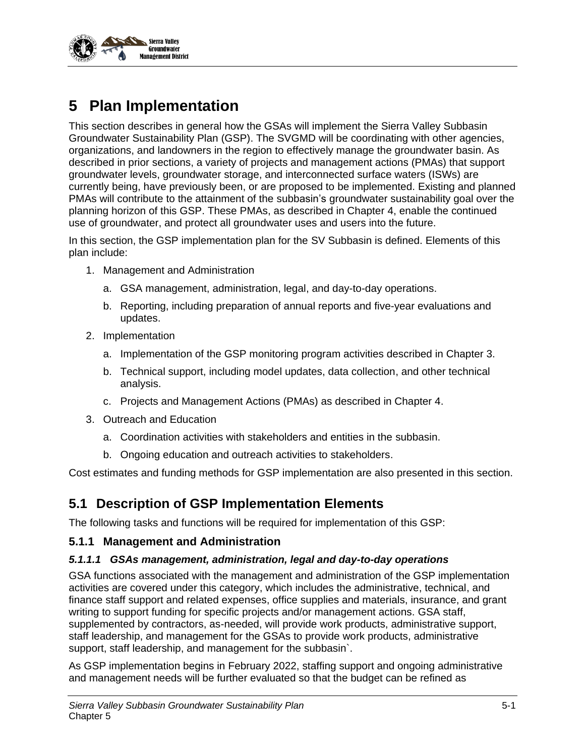

# **5 Plan Implementation**

This section describes in general how the GSAs will implement the Sierra Valley Subbasin Groundwater Sustainability Plan (GSP). The SVGMD will be coordinating with other agencies, organizations, and landowners in the region to effectively manage the groundwater basin. As described in prior sections, a variety of projects and management actions (PMAs) that support groundwater levels, groundwater storage, and interconnected surface waters (ISWs) are currently being, have previously been, or are proposed to be implemented. Existing and planned PMAs will contribute to the attainment of the subbasin's groundwater sustainability goal over the planning horizon of this GSP. These PMAs, as described in Chapter 4, enable the continued use of groundwater, and protect all groundwater uses and users into the future.

In this section, the GSP implementation plan for the SV Subbasin is defined. Elements of this plan include:

- 1. Management and Administration
	- a. GSA management, administration, legal, and day-to-day operations.
	- b. Reporting, including preparation of annual reports and five-year evaluations and updates.
- 2. Implementation
	- a. Implementation of the GSP monitoring program activities described in Chapter 3.
	- b. Technical support, including model updates, data collection, and other technical analysis.
	- c. Projects and Management Actions (PMAs) as described in Chapter 4.
- 3. Outreach and Education
	- a. Coordination activities with stakeholders and entities in the subbasin.
	- b. Ongoing education and outreach activities to stakeholders.

Cost estimates and funding methods for GSP implementation are also presented in this section.

# **5.1 Description of GSP Implementation Elements**

The following tasks and functions will be required for implementation of this GSP:

### **5.1.1 Management and Administration**

### *5.1.1.1 GSAs management, administration, legal and day-to-day operations*

GSA functions associated with the management and administration of the GSP implementation activities are covered under this category, which includes the administrative, technical, and finance staff support and related expenses, office supplies and materials, insurance, and grant writing to support funding for specific projects and/or management actions. GSA staff, supplemented by contractors, as-needed, will provide work products, administrative support, staff leadership, and management for the GSAs to provide work products, administrative support, staff leadership, and management for the subbasin`.

As GSP implementation begins in February 2022, staffing support and ongoing administrative and management needs will be further evaluated so that the budget can be refined as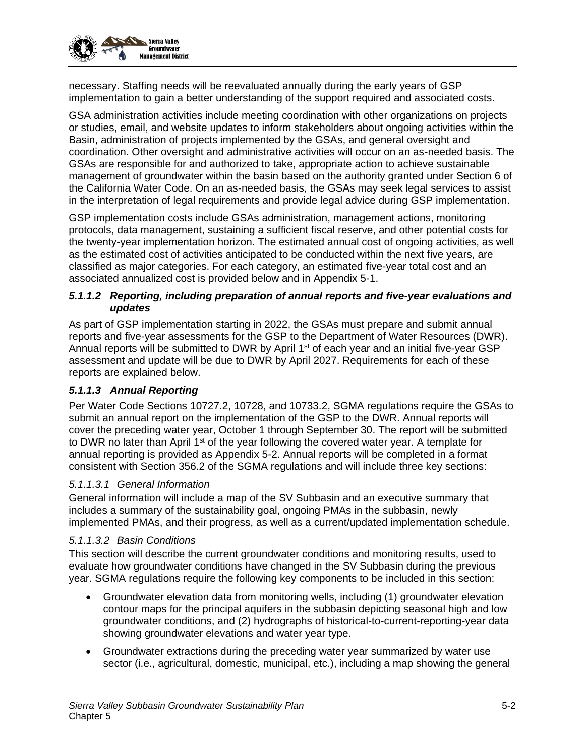

necessary. Staffing needs will be reevaluated annually during the early years of GSP implementation to gain a better understanding of the support required and associated costs.

GSA administration activities include meeting coordination with other organizations on projects or studies, email, and website updates to inform stakeholders about ongoing activities within the Basin, administration of projects implemented by the GSAs, and general oversight and coordination. Other oversight and administrative activities will occur on an as-needed basis. The GSAs are responsible for and authorized to take, appropriate action to achieve sustainable management of groundwater within the basin based on the authority granted under Section 6 of the California Water Code. On an as-needed basis, the GSAs may seek legal services to assist in the interpretation of legal requirements and provide legal advice during GSP implementation.

GSP implementation costs include GSAs administration, management actions, monitoring protocols, data management, sustaining a sufficient fiscal reserve, and other potential costs for the twenty-year implementation horizon. The estimated annual cost of ongoing activities, as well as the estimated cost of activities anticipated to be conducted within the next five years, are classified as major categories. For each category, an estimated five-year total cost and an associated annualized cost is provided below and in Appendix 5-1.

### *5.1.1.2 Reporting, including preparation of annual reports and five-year evaluations and updates*

As part of GSP implementation starting in 2022, the GSAs must prepare and submit annual reports and five-year assessments for the GSP to the Department of Water Resources (DWR). Annual reports will be submitted to DWR by April 1<sup>st</sup> of each year and an initial five-year GSP assessment and update will be due to DWR by April 2027. Requirements for each of these reports are explained below.

### *5.1.1.3 Annual Reporting*

Per Water Code Sections 10727.2, 10728, and 10733.2, SGMA regulations require the GSAs to submit an annual report on the implementation of the GSP to the DWR. Annual reports will cover the preceding water year, October 1 through September 30. The report will be submitted to DWR no later than April 1<sup>st</sup> of the year following the covered water year. A template for annual reporting is provided as Appendix 5-2. Annual reports will be completed in a format consistent with Section 356.2 of the SGMA regulations and will include three key sections:

### *5.1.1.3.1 General Information*

General information will include a map of the SV Subbasin and an executive summary that includes a summary of the sustainability goal, ongoing PMAs in the subbasin, newly implemented PMAs, and their progress, as well as a current/updated implementation schedule.

### *5.1.1.3.2 Basin Conditions*

This section will describe the current groundwater conditions and monitoring results, used to evaluate how groundwater conditions have changed in the SV Subbasin during the previous year. SGMA regulations require the following key components to be included in this section:

- Groundwater elevation data from monitoring wells, including (1) groundwater elevation contour maps for the principal aquifers in the subbasin depicting seasonal high and low groundwater conditions, and (2) hydrographs of historical-to-current-reporting-year data showing groundwater elevations and water year type.
- Groundwater extractions during the preceding water year summarized by water use sector (i.e., agricultural, domestic, municipal, etc.), including a map showing the general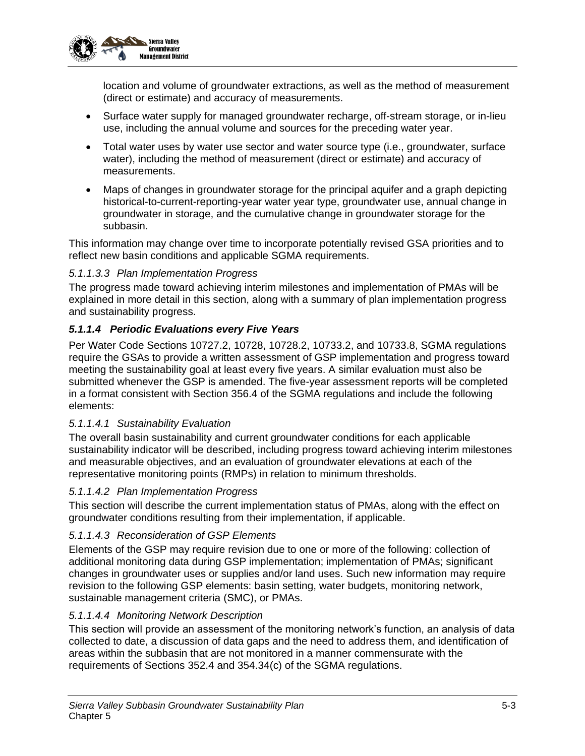

location and volume of groundwater extractions, as well as the method of measurement (direct or estimate) and accuracy of measurements.

- Surface water supply for managed groundwater recharge, off-stream storage, or in-lieu use, including the annual volume and sources for the preceding water year.
- Total water uses by water use sector and water source type (i.e., groundwater, surface water), including the method of measurement (direct or estimate) and accuracy of measurements.
- Maps of changes in groundwater storage for the principal aquifer and a graph depicting historical-to-current-reporting-year water year type, groundwater use, annual change in groundwater in storage, and the cumulative change in groundwater storage for the subbasin.

This information may change over time to incorporate potentially revised GSA priorities and to reflect new basin conditions and applicable SGMA requirements.

### *5.1.1.3.3 Plan Implementation Progress*

The progress made toward achieving interim milestones and implementation of PMAs will be explained in more detail in this section, along with a summary of plan implementation progress and sustainability progress.

### *5.1.1.4 Periodic Evaluations every Five Years*

Per Water Code Sections 10727.2, 10728, 10728.2, 10733.2, and 10733.8, SGMA regulations require the GSAs to provide a written assessment of GSP implementation and progress toward meeting the sustainability goal at least every five years. A similar evaluation must also be submitted whenever the GSP is amended. The five-year assessment reports will be completed in a format consistent with Section 356.4 of the SGMA regulations and include the following elements:

### *5.1.1.4.1 Sustainability Evaluation*

The overall basin sustainability and current groundwater conditions for each applicable sustainability indicator will be described, including progress toward achieving interim milestones and measurable objectives, and an evaluation of groundwater elevations at each of the representative monitoring points (RMPs) in relation to minimum thresholds.

### *5.1.1.4.2 Plan Implementation Progress*

This section will describe the current implementation status of PMAs, along with the effect on groundwater conditions resulting from their implementation, if applicable.

### *5.1.1.4.3 Reconsideration of GSP Elements*

Elements of the GSP may require revision due to one or more of the following: collection of additional monitoring data during GSP implementation; implementation of PMAs; significant changes in groundwater uses or supplies and/or land uses. Such new information may require revision to the following GSP elements: basin setting, water budgets, monitoring network, sustainable management criteria (SMC), or PMAs.

### *5.1.1.4.4 Monitoring Network Description*

This section will provide an assessment of the monitoring network's function, an analysis of data collected to date, a discussion of data gaps and the need to address them, and identification of areas within the subbasin that are not monitored in a manner commensurate with the requirements of Sections 352.4 and 354.34(c) of the SGMA regulations.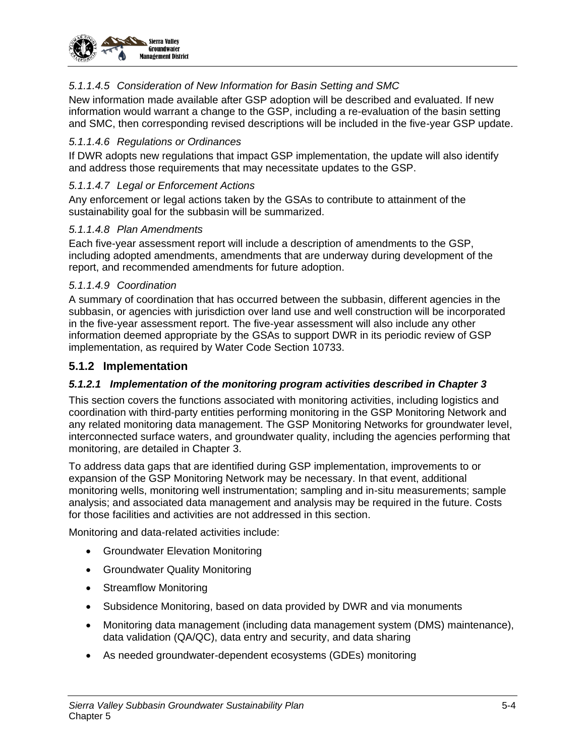

### *5.1.1.4.5 Consideration of New Information for Basin Setting and SMC*

New information made available after GSP adoption will be described and evaluated. If new information would warrant a change to the GSP, including a re-evaluation of the basin setting and SMC, then corresponding revised descriptions will be included in the five-year GSP update.

### *5.1.1.4.6 Regulations or Ordinances*

If DWR adopts new regulations that impact GSP implementation, the update will also identify and address those requirements that may necessitate updates to the GSP.

#### *5.1.1.4.7 Legal or Enforcement Actions*

Any enforcement or legal actions taken by the GSAs to contribute to attainment of the sustainability goal for the subbasin will be summarized.

#### *5.1.1.4.8 Plan Amendments*

Each five-year assessment report will include a description of amendments to the GSP, including adopted amendments, amendments that are underway during development of the report, and recommended amendments for future adoption.

#### *5.1.1.4.9 Coordination*

A summary of coordination that has occurred between the subbasin, different agencies in the subbasin, or agencies with jurisdiction over land use and well construction will be incorporated in the five-year assessment report. The five-year assessment will also include any other information deemed appropriate by the GSAs to support DWR in its periodic review of GSP implementation, as required by Water Code Section 10733.

### **5.1.2 Implementation**

### *5.1.2.1 Implementation of the monitoring program activities described in Chapter 3*

This section covers the functions associated with monitoring activities, including logistics and coordination with third-party entities performing monitoring in the GSP Monitoring Network and any related monitoring data management. The GSP Monitoring Networks for groundwater level, interconnected surface waters, and groundwater quality, including the agencies performing that monitoring, are detailed in Chapter 3.

To address data gaps that are identified during GSP implementation, improvements to or expansion of the GSP Monitoring Network may be necessary. In that event, additional monitoring wells, monitoring well instrumentation; sampling and in-situ measurements; sample analysis; and associated data management and analysis may be required in the future. Costs for those facilities and activities are not addressed in this section.

Monitoring and data-related activities include:

- Groundwater Elevation Monitoring
- Groundwater Quality Monitoring
- Streamflow Monitoring
- Subsidence Monitoring, based on data provided by DWR and via monuments
- Monitoring data management (including data management system (DMS) maintenance), data validation (QA/QC), data entry and security, and data sharing
- As needed groundwater-dependent ecosystems (GDEs) monitoring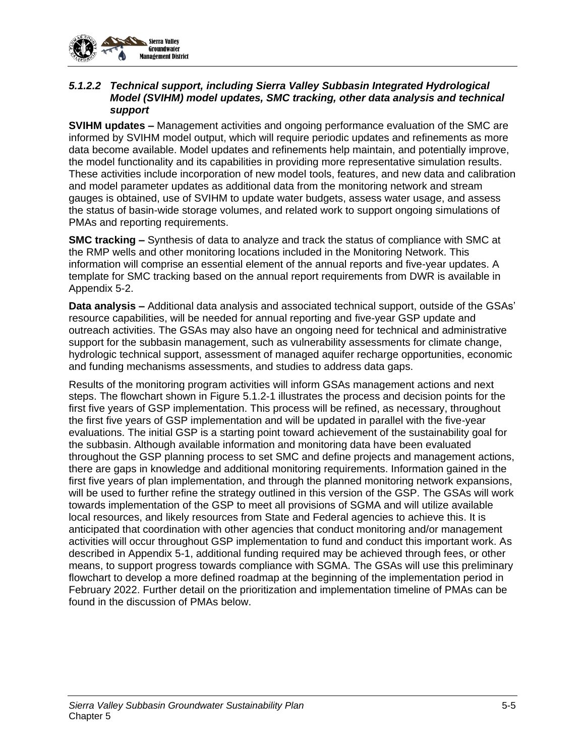

### *5.1.2.2 Technical support, including Sierra Valley Subbasin Integrated Hydrological Model (SVIHM) model updates, SMC tracking, other data analysis and technical support*

**SVIHM updates –** Management activities and ongoing performance evaluation of the SMC are informed by SVIHM model output, which will require periodic updates and refinements as more data become available. Model updates and refinements help maintain, and potentially improve, the model functionality and its capabilities in providing more representative simulation results. These activities include incorporation of new model tools, features, and new data and calibration and model parameter updates as additional data from the monitoring network and stream gauges is obtained, use of SVIHM to update water budgets, assess water usage, and assess the status of basin-wide storage volumes, and related work to support ongoing simulations of PMAs and reporting requirements.

**SMC tracking –** Synthesis of data to analyze and track the status of compliance with SMC at the RMP wells and other monitoring locations included in the Monitoring Network. This information will comprise an essential element of the annual reports and five-year updates. A template for SMC tracking based on the annual report requirements from DWR is available in Appendix 5-2.

**Data analysis –** Additional data analysis and associated technical support, outside of the GSAs' resource capabilities, will be needed for annual reporting and five-year GSP update and outreach activities. The GSAs may also have an ongoing need for technical and administrative support for the subbasin management, such as vulnerability assessments for climate change, hydrologic technical support, assessment of managed aquifer recharge opportunities, economic and funding mechanisms assessments, and studies to address data gaps.

Results of the monitoring program activities will inform GSAs management actions and next steps. The flowchart shown in Figure 5.1.2-1 illustrates the process and decision points for the first five years of GSP implementation. This process will be refined, as necessary, throughout the first five years of GSP implementation and will be updated in parallel with the five-year evaluations. The initial GSP is a starting point toward achievement of the sustainability goal for the subbasin. Although available information and monitoring data have been evaluated throughout the GSP planning process to set SMC and define projects and management actions, there are gaps in knowledge and additional monitoring requirements. Information gained in the first five years of plan implementation, and through the planned monitoring network expansions, will be used to further refine the strategy outlined in this version of the GSP. The GSAs will work towards implementation of the GSP to meet all provisions of SGMA and will utilize available local resources, and likely resources from State and Federal agencies to achieve this. It is anticipated that coordination with other agencies that conduct monitoring and/or management activities will occur throughout GSP implementation to fund and conduct this important work. As described in Appendix 5-1, additional funding required may be achieved through fees, or other means, to support progress towards compliance with SGMA. The GSAs will use this preliminary flowchart to develop a more defined roadmap at the beginning of the implementation period in February 2022. Further detail on the prioritization and implementation timeline of PMAs can be found in the discussion of PMAs below.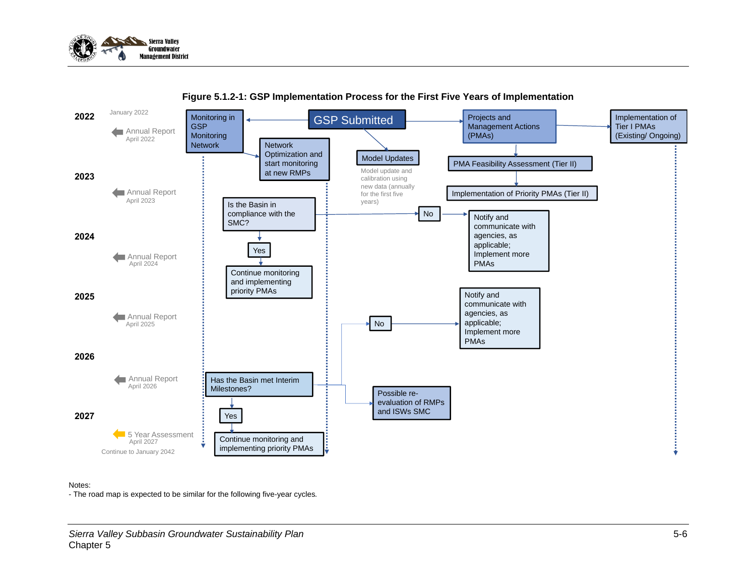



#### **Figure 5.1.2-1: GSP Implementation Process for the First Five Years of Implementation**

#### Notes:

- The road map is expected to be similar for the following five-year cycles*.*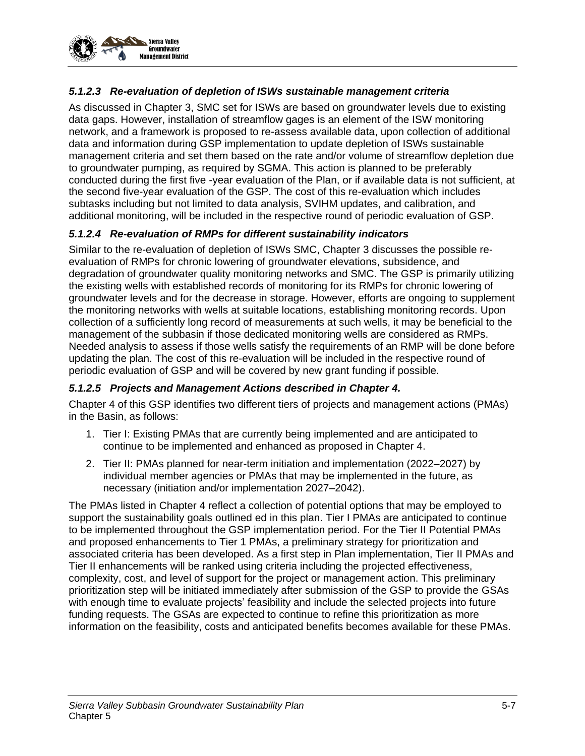

### *5.1.2.3 Re-evaluation of depletion of ISWs sustainable management criteria*

As discussed in Chapter 3, SMC set for ISWs are based on groundwater levels due to existing data gaps. However, installation of streamflow gages is an element of the ISW monitoring network, and a framework is proposed to re-assess available data, upon collection of additional data and information during GSP implementation to update depletion of ISWs sustainable management criteria and set them based on the rate and/or volume of streamflow depletion due to groundwater pumping, as required by SGMA. This action is planned to be preferably conducted during the first five -year evaluation of the Plan, or if available data is not sufficient, at the second five-year evaluation of the GSP. The cost of this re-evaluation which includes subtasks including but not limited to data analysis, SVIHM updates, and calibration, and additional monitoring, will be included in the respective round of periodic evaluation of GSP.

### *5.1.2.4 Re-evaluation of RMPs for different sustainability indicators*

Similar to the re-evaluation of depletion of ISWs SMC, Chapter 3 discusses the possible reevaluation of RMPs for chronic lowering of groundwater elevations, subsidence, and degradation of groundwater quality monitoring networks and SMC. The GSP is primarily utilizing the existing wells with established records of monitoring for its RMPs for chronic lowering of groundwater levels and for the decrease in storage. However, efforts are ongoing to supplement the monitoring networks with wells at suitable locations, establishing monitoring records. Upon collection of a sufficiently long record of measurements at such wells, it may be beneficial to the management of the subbasin if those dedicated monitoring wells are considered as RMPs. Needed analysis to assess if those wells satisfy the requirements of an RMP will be done before updating the plan. The cost of this re-evaluation will be included in the respective round of periodic evaluation of GSP and will be covered by new grant funding if possible.

### *5.1.2.5 Projects and Management Actions described in Chapter 4.*

Chapter 4 of this GSP identifies two different tiers of projects and management actions (PMAs) in the Basin, as follows:

- 1. Tier I: Existing PMAs that are currently being implemented and are anticipated to continue to be implemented and enhanced as proposed in Chapter 4.
- 2. Tier II: PMAs planned for near-term initiation and implementation (2022–2027) by individual member agencies or PMAs that may be implemented in the future, as necessary (initiation and/or implementation 2027–2042).

The PMAs listed in Chapter 4 reflect a collection of potential options that may be employed to support the sustainability goals outlined ed in this plan. Tier I PMAs are anticipated to continue to be implemented throughout the GSP implementation period. For the Tier II Potential PMAs and proposed enhancements to Tier 1 PMAs, a preliminary strategy for prioritization and associated criteria has been developed. As a first step in Plan implementation, Tier II PMAs and Tier II enhancements will be ranked using criteria including the projected effectiveness, complexity, cost, and level of support for the project or management action. This preliminary prioritization step will be initiated immediately after submission of the GSP to provide the GSAs with enough time to evaluate projects' feasibility and include the selected projects into future funding requests. The GSAs are expected to continue to refine this prioritization as more information on the feasibility, costs and anticipated benefits becomes available for these PMAs.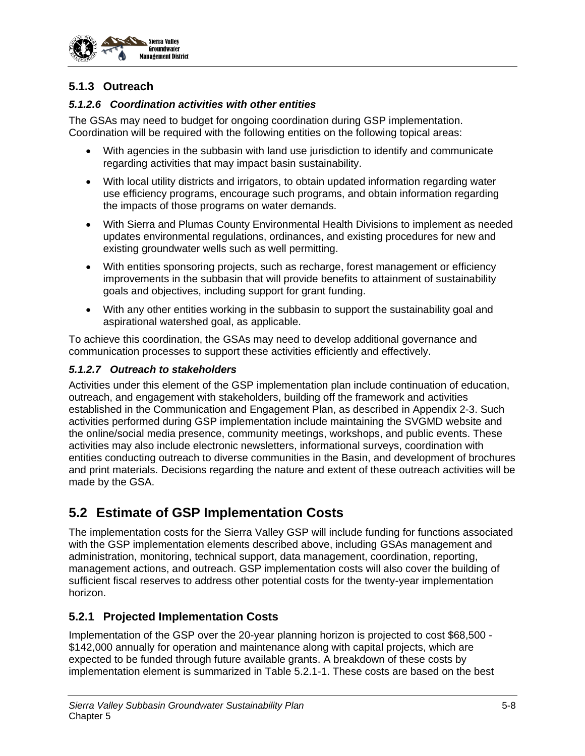

## **5.1.3 Outreach**

### *5.1.2.6 Coordination activities with other entities*

The GSAs may need to budget for ongoing coordination during GSP implementation. Coordination will be required with the following entities on the following topical areas:

- With agencies in the subbasin with land use jurisdiction to identify and communicate regarding activities that may impact basin sustainability.
- With local utility districts and irrigators, to obtain updated information regarding water use efficiency programs, encourage such programs, and obtain information regarding the impacts of those programs on water demands.
- With Sierra and Plumas County Environmental Health Divisions to implement as needed updates environmental regulations, ordinances, and existing procedures for new and existing groundwater wells such as well permitting.
- With entities sponsoring projects, such as recharge, forest management or efficiency improvements in the subbasin that will provide benefits to attainment of sustainability goals and objectives, including support for grant funding.
- With any other entities working in the subbasin to support the sustainability goal and aspirational watershed goal, as applicable.

To achieve this coordination, the GSAs may need to develop additional governance and communication processes to support these activities efficiently and effectively.

### *5.1.2.7 Outreach to stakeholders*

Activities under this element of the GSP implementation plan include continuation of education, outreach, and engagement with stakeholders, building off the framework and activities established in the Communication and Engagement Plan, as described in Appendix 2-3. Such activities performed during GSP implementation include maintaining the SVGMD website and the online/social media presence, community meetings, workshops, and public events. These activities may also include electronic newsletters, informational surveys, coordination with entities conducting outreach to diverse communities in the Basin, and development of brochures and print materials. Decisions regarding the nature and extent of these outreach activities will be made by the GSA.

# **5.2 Estimate of GSP Implementation Costs**

The implementation costs for the Sierra Valley GSP will include funding for functions associated with the GSP implementation elements described above, including GSAs management and administration, monitoring, technical support, data management, coordination, reporting, management actions, and outreach. GSP implementation costs will also cover the building of sufficient fiscal reserves to address other potential costs for the twenty-year implementation horizon.

### **5.2.1 Projected Implementation Costs**

Implementation of the GSP over the 20-year planning horizon is projected to cost \$68,500 - \$142,000 annually for operation and maintenance along with capital projects, which are expected to be funded through future available grants. A breakdown of these costs by implementation element is summarized in [Table 5.2.1-1.](#page-9-0) These costs are based on the best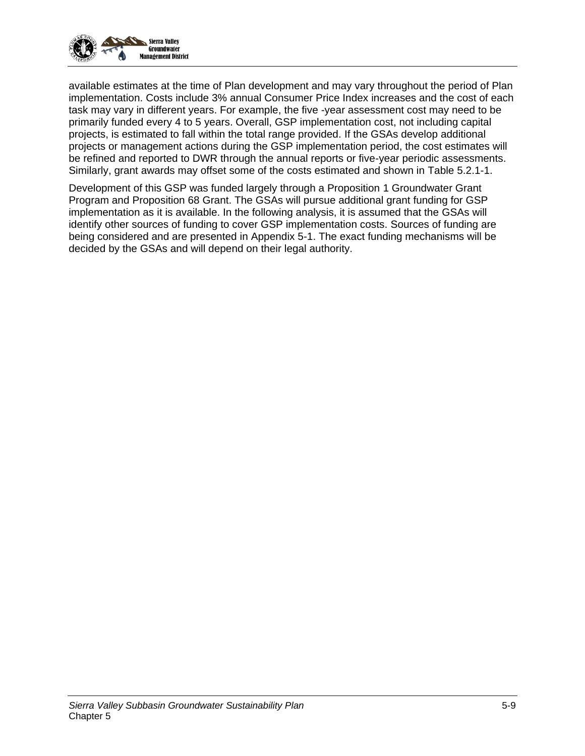

available estimates at the time of Plan development and may vary throughout the period of Plan implementation. Costs include 3% annual Consumer Price Index increases and the cost of each task may vary in different years. For example, the five -year assessment cost may need to be primarily funded every 4 to 5 years. Overall, GSP implementation cost, not including capital projects, is estimated to fall within the total range provided. If the GSAs develop additional projects or management actions during the GSP implementation period, the cost estimates will be refined and reported to DWR through the annual reports or five-year periodic assessments. Similarly, grant awards may offset some of the costs estimated and shown in [Table 5.2.1-1.](#page-9-0)

Development of this GSP was funded largely through a Proposition 1 Groundwater Grant Program and Proposition 68 Grant. The GSAs will pursue additional grant funding for GSP implementation as it is available. In the following analysis, it is assumed that the GSAs will identify other sources of funding to cover GSP implementation costs. Sources of funding are being considered and are presented in Appendix 5-1. The exact funding mechanisms will be decided by the GSAs and will depend on their legal authority.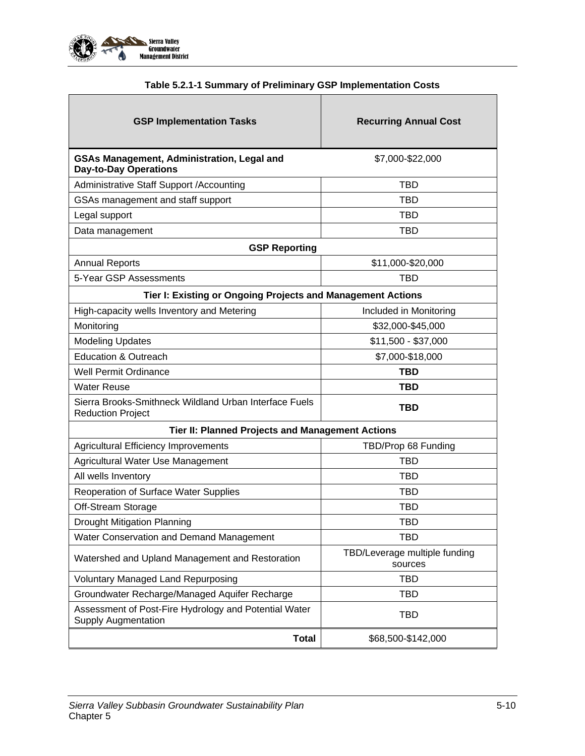

<span id="page-9-0"></span>

| <b>GSP Implementation Tasks</b>                                                     | <b>Recurring Annual Cost</b>             |  |  |  |  |  |  |
|-------------------------------------------------------------------------------------|------------------------------------------|--|--|--|--|--|--|
| GSAs Management, Administration, Legal and<br><b>Day-to-Day Operations</b>          | \$7,000-\$22,000                         |  |  |  |  |  |  |
| <b>Administrative Staff Support /Accounting</b>                                     | <b>TBD</b>                               |  |  |  |  |  |  |
| GSAs management and staff support                                                   | TBD                                      |  |  |  |  |  |  |
| Legal support                                                                       | TBD                                      |  |  |  |  |  |  |
| Data management                                                                     | <b>TBD</b>                               |  |  |  |  |  |  |
| <b>GSP Reporting</b>                                                                |                                          |  |  |  |  |  |  |
| <b>Annual Reports</b>                                                               | \$11,000-\$20,000                        |  |  |  |  |  |  |
| 5-Year GSP Assessments                                                              | <b>TBD</b>                               |  |  |  |  |  |  |
| Tier I: Existing or Ongoing Projects and Management Actions                         |                                          |  |  |  |  |  |  |
| High-capacity wells Inventory and Metering                                          | Included in Monitoring                   |  |  |  |  |  |  |
| Monitoring                                                                          | \$32,000-\$45,000                        |  |  |  |  |  |  |
| <b>Modeling Updates</b>                                                             | $$11,500 - $37,000$                      |  |  |  |  |  |  |
| <b>Education &amp; Outreach</b>                                                     | \$7,000-\$18,000                         |  |  |  |  |  |  |
| <b>Well Permit Ordinance</b>                                                        | <b>TBD</b>                               |  |  |  |  |  |  |
| <b>Water Reuse</b>                                                                  | <b>TBD</b>                               |  |  |  |  |  |  |
| Sierra Brooks-Smithneck Wildland Urban Interface Fuels<br><b>Reduction Project</b>  | <b>TBD</b>                               |  |  |  |  |  |  |
| Tier II: Planned Projects and Management Actions                                    |                                          |  |  |  |  |  |  |
| <b>Agricultural Efficiency Improvements</b>                                         | TBD/Prop 68 Funding                      |  |  |  |  |  |  |
| Agricultural Water Use Management                                                   | TBD                                      |  |  |  |  |  |  |
| All wells Inventory                                                                 | TBD                                      |  |  |  |  |  |  |
| Reoperation of Surface Water Supplies                                               | <b>TBD</b>                               |  |  |  |  |  |  |
| Off-Stream Storage                                                                  | TBD                                      |  |  |  |  |  |  |
| <b>Drought Mitigation Planning</b>                                                  | TBD                                      |  |  |  |  |  |  |
| Water Conservation and Demand Management                                            | TBD                                      |  |  |  |  |  |  |
| Watershed and Upland Management and Restoration                                     | TBD/Leverage multiple funding<br>sources |  |  |  |  |  |  |
| <b>Voluntary Managed Land Repurposing</b>                                           | <b>TBD</b>                               |  |  |  |  |  |  |
| Groundwater Recharge/Managed Aquifer Recharge                                       | <b>TBD</b>                               |  |  |  |  |  |  |
| Assessment of Post-Fire Hydrology and Potential Water<br><b>Supply Augmentation</b> | <b>TBD</b>                               |  |  |  |  |  |  |
| <b>Total</b>                                                                        | \$68,500-\$142,000                       |  |  |  |  |  |  |

### **Table 5.2.1-1 Summary of Preliminary GSP Implementation Costs**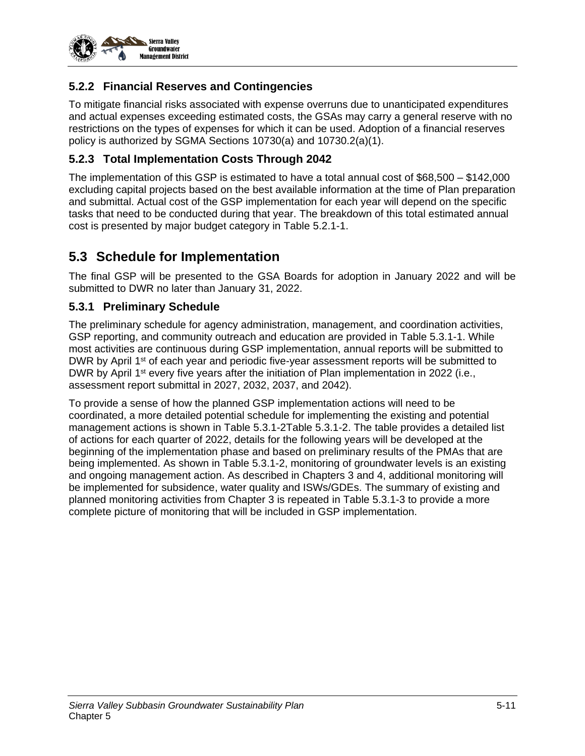

### **5.2.2 Financial Reserves and Contingencies**

To mitigate financial risks associated with expense overruns due to unanticipated expenditures and actual expenses exceeding estimated costs, the GSAs may carry a general reserve with no restrictions on the types of expenses for which it can be used. Adoption of a financial reserves policy is authorized by SGMA Sections 10730(a) and 10730.2(a)(1).

### **5.2.3 Total Implementation Costs Through 2042**

The implementation of this GSP is estimated to have a total annual cost of \$68,500 – \$142,000 excluding capital projects based on the best available information at the time of Plan preparation and submittal. Actual cost of the GSP implementation for each year will depend on the specific tasks that need to be conducted during that year. The breakdown of this total estimated annual cost is presented by major budget category in [Table 5.2.1-1.](#page-9-0)

# **5.3 Schedule for Implementation**

The final GSP will be presented to the GSA Boards for adoption in January 2022 and will be submitted to DWR no later than January 31, 2022.

### **5.3.1 Preliminary Schedule**

The preliminary schedule for agency administration, management, and coordination activities, GSP reporting, and community outreach and education are provided in [Table 5.3.1-1.](#page-11-0) While most activities are continuous during GSP implementation, annual reports will be submitted to DWR by April 1<sup>st</sup> of each year and periodic five-year assessment reports will be submitted to DWR by April 1<sup>st</sup> every five years after the initiation of Plan implementation in 2022 (i.e., assessment report submittal in 2027, 2032, 2037, and 2042).

To provide a sense of how the planned GSP implementation actions will need to be coordinated, a more detailed potential schedule for implementing the existing and potential management actions is shown in [Table 5.3.1-2Table 5.3.1-2.](#page-12-0) The table provides a detailed list of actions for each quarter of 2022, details for the following years will be developed at the beginning of the implementation phase and based on preliminary results of the PMAs that are being implemented. As shown in [Table 5.3.1-2,](#page-12-0) monitoring of groundwater levels is an existing and ongoing management action. As described in Chapters 3 and 4, additional monitoring will be implemented for subsidence, water quality and ISWs/GDEs. The summary of existing and planned monitoring activities from Chapter 3 is repeated in [Table 5.3.1-3](#page-16-0) to provide a more complete picture of monitoring that will be included in GSP implementation.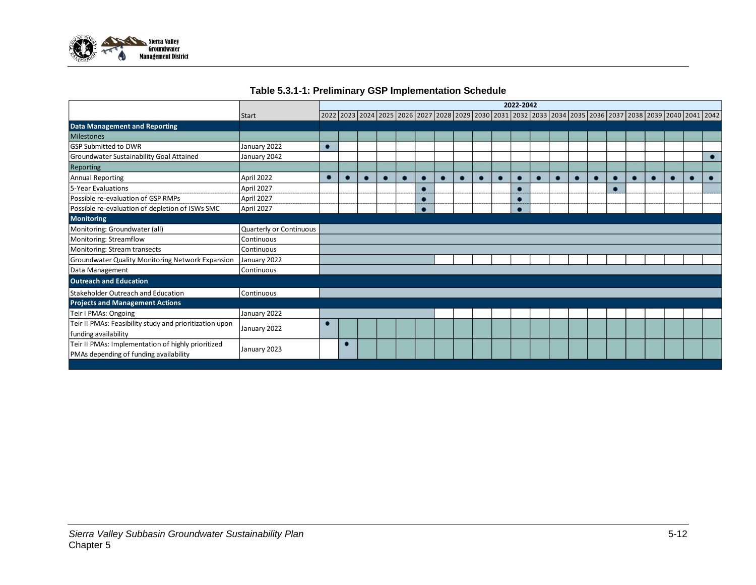

<span id="page-11-0"></span>

|                                                         |                         | 2022-2042 |  |  |                                                                                                          |   |  |  |  |   |  |  |           |           |           |  |  |  |           |
|---------------------------------------------------------|-------------------------|-----------|--|--|----------------------------------------------------------------------------------------------------------|---|--|--|--|---|--|--|-----------|-----------|-----------|--|--|--|-----------|
|                                                         | Start                   |           |  |  | 2022 2023 2024 2025 2026 2027 2028 2029 2030 2031 2032 2033 2034 2035 2036 2037 2038 2039 2040 2041 2042 |   |  |  |  |   |  |  |           |           |           |  |  |  |           |
| <b>Data Management and Reporting</b>                    |                         |           |  |  |                                                                                                          |   |  |  |  |   |  |  |           |           |           |  |  |  |           |
| <b>Milestones</b>                                       |                         |           |  |  |                                                                                                          |   |  |  |  |   |  |  |           |           |           |  |  |  |           |
| <b>GSP Submitted to DWR</b>                             | January 2022            |           |  |  |                                                                                                          |   |  |  |  |   |  |  |           |           |           |  |  |  |           |
| Groundwater Sustainability Goal Attained                | January 2042            |           |  |  |                                                                                                          |   |  |  |  |   |  |  |           |           |           |  |  |  | $\bullet$ |
| Reporting                                               |                         |           |  |  |                                                                                                          |   |  |  |  |   |  |  |           |           |           |  |  |  |           |
| Annual Reporting                                        | April 2022              |           |  |  | $\bullet$                                                                                                | n |  |  |  | c |  |  | $\bullet$ | $\bullet$ | $\bullet$ |  |  |  |           |
| 5-Year Evaluations                                      | April 2027              |           |  |  |                                                                                                          |   |  |  |  |   |  |  |           |           |           |  |  |  |           |
| Possible re-evaluation of GSP RMPs                      | April 2027              |           |  |  |                                                                                                          |   |  |  |  |   |  |  |           |           |           |  |  |  |           |
| Possible re-evaluation of depletion of ISWs SMC         | April 2027              |           |  |  |                                                                                                          |   |  |  |  |   |  |  |           |           |           |  |  |  |           |
| <b>Monitoring</b>                                       |                         |           |  |  |                                                                                                          |   |  |  |  |   |  |  |           |           |           |  |  |  |           |
| Monitoring: Groundwater (all)                           | Quarterly or Continuous |           |  |  |                                                                                                          |   |  |  |  |   |  |  |           |           |           |  |  |  |           |
| Monitoring: Streamflow                                  | Continuous              |           |  |  |                                                                                                          |   |  |  |  |   |  |  |           |           |           |  |  |  |           |
| Monitoring: Stream transects                            | Continuous              |           |  |  |                                                                                                          |   |  |  |  |   |  |  |           |           |           |  |  |  |           |
| Groundwater Quality Monitoring Network Expansion        | January 2022            |           |  |  |                                                                                                          |   |  |  |  |   |  |  |           |           |           |  |  |  |           |
| Data Management                                         | Continuous              |           |  |  |                                                                                                          |   |  |  |  |   |  |  |           |           |           |  |  |  |           |
| <b>Outreach and Education</b>                           |                         |           |  |  |                                                                                                          |   |  |  |  |   |  |  |           |           |           |  |  |  |           |
| Stakeholder Outreach and Education                      | Continuous              |           |  |  |                                                                                                          |   |  |  |  |   |  |  |           |           |           |  |  |  |           |
| <b>Projects and Management Actions</b>                  |                         |           |  |  |                                                                                                          |   |  |  |  |   |  |  |           |           |           |  |  |  |           |
| Teir I PMAs: Ongoing                                    | January 2022            |           |  |  |                                                                                                          |   |  |  |  |   |  |  |           |           |           |  |  |  |           |
| Teir II PMAs: Feasibility study and prioritization upon |                         | О         |  |  |                                                                                                          |   |  |  |  |   |  |  |           |           |           |  |  |  |           |
| funding availability                                    | January 2022            |           |  |  |                                                                                                          |   |  |  |  |   |  |  |           |           |           |  |  |  |           |
| Teir II PMAs: Implementation of highly prioritized      | January 2023            |           |  |  |                                                                                                          |   |  |  |  |   |  |  |           |           |           |  |  |  |           |
| PMAs depending of funding availability                  |                         |           |  |  |                                                                                                          |   |  |  |  |   |  |  |           |           |           |  |  |  |           |

### **Table 5.3.1-1: Preliminary GSP Implementation Schedule**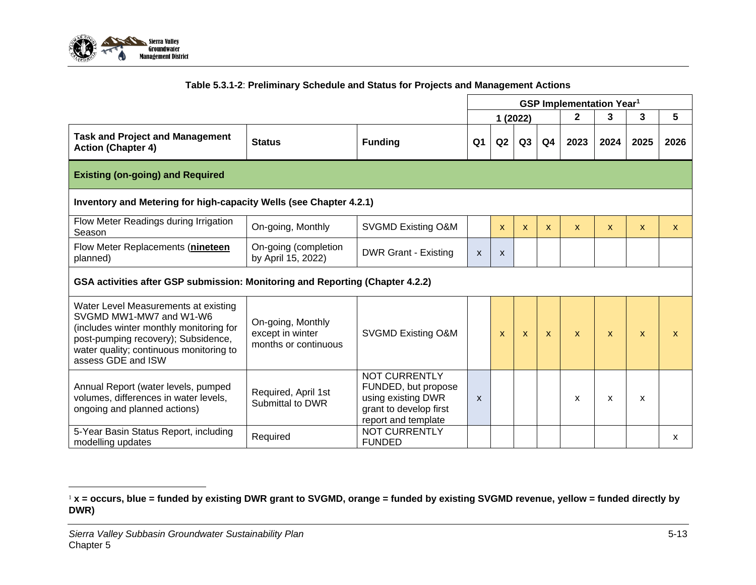

<span id="page-12-0"></span>

|                                                                                                                                                                                                                    |                                                               |                                                                                                                    | <b>GSP Implementation Year<sup>1</sup></b> |                           |              |                |              |              |              |      |
|--------------------------------------------------------------------------------------------------------------------------------------------------------------------------------------------------------------------|---------------------------------------------------------------|--------------------------------------------------------------------------------------------------------------------|--------------------------------------------|---------------------------|--------------|----------------|--------------|--------------|--------------|------|
|                                                                                                                                                                                                                    |                                                               |                                                                                                                    |                                            |                           | 1 (2022)     |                | $\mathbf 2$  | 3            | 3            | 5    |
| <b>Task and Project and Management</b><br><b>Action (Chapter 4)</b>                                                                                                                                                | <b>Status</b>                                                 | <b>Funding</b>                                                                                                     | Q1                                         | Q2                        | Q3           | Q <sub>4</sub> | 2023         | 2024         | 2025         | 2026 |
| <b>Existing (on-going) and Required</b>                                                                                                                                                                            |                                                               |                                                                                                                    |                                            |                           |              |                |              |              |              |      |
| Inventory and Metering for high-capacity Wells (see Chapter 4.2.1)                                                                                                                                                 |                                                               |                                                                                                                    |                                            |                           |              |                |              |              |              |      |
| Flow Meter Readings during Irrigation<br>Season                                                                                                                                                                    | On-going, Monthly                                             | SVGMD Existing O&M                                                                                                 |                                            | $\mathbf{x}$              | X            | $\mathsf{x}$   | X            | X.           | X.           | X.   |
| Flow Meter Replacements (nineteen<br>planned)                                                                                                                                                                      | On-going (completion<br>by April 15, 2022)                    | <b>DWR Grant - Existing</b>                                                                                        | $\mathsf{x}$                               | $\boldsymbol{\mathsf{x}}$ |              |                |              |              |              |      |
| GSA activities after GSP submission: Monitoring and Reporting (Chapter 4.2.2)                                                                                                                                      |                                                               |                                                                                                                    |                                            |                           |              |                |              |              |              |      |
| Water Level Measurements at existing<br>SVGMD MW1-MW7 and W1-W6<br>(includes winter monthly monitoring for<br>post-pumping recovery); Subsidence,<br>water quality; continuous monitoring to<br>assess GDE and ISW | On-going, Monthly<br>except in winter<br>months or continuous | SVGMD Existing O&M                                                                                                 |                                            | $\mathbf{x}$              | $\mathbf{x}$ | $\mathbf{x}$   | $\mathbf{x}$ | $\mathbf{x}$ | $\mathbf{x}$ | x    |
| Annual Report (water levels, pumped<br>volumes, differences in water levels,<br>ongoing and planned actions)                                                                                                       | Required, April 1st<br>Submittal to DWR                       | <b>NOT CURRENTLY</b><br>FUNDED, but propose<br>using existing DWR<br>grant to develop first<br>report and template | $\mathsf{x}$                               |                           |              |                | X            | X            | X            |      |
| 5-Year Basin Status Report, including<br>modelling updates                                                                                                                                                         | Required                                                      | <b>NOT CURRENTLY</b><br><b>FUNDED</b>                                                                              |                                            |                           |              |                |              |              |              | X.   |

<sup>&</sup>lt;sup>1</sup> **x** = occurs, blue = funded by existing DWR grant to SVGMD, orange = funded by existing SVGMD revenue, yellow = funded directly by **DWR)**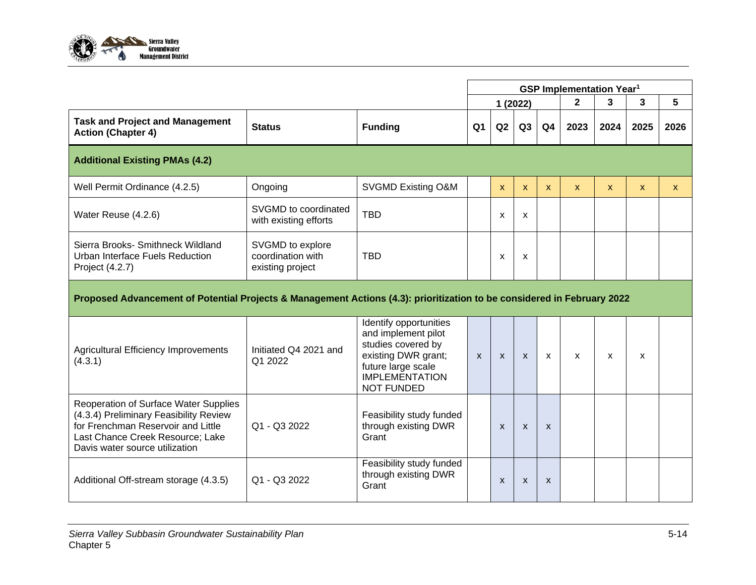

|                                                                                                                                                                                             |                                                           |                                                                                                                                                                | <b>GSP Implementation Year<sup>1</sup></b> |              |              |                           |              |              |              |              |
|---------------------------------------------------------------------------------------------------------------------------------------------------------------------------------------------|-----------------------------------------------------------|----------------------------------------------------------------------------------------------------------------------------------------------------------------|--------------------------------------------|--------------|--------------|---------------------------|--------------|--------------|--------------|--------------|
|                                                                                                                                                                                             |                                                           |                                                                                                                                                                | 1 (2022)                                   |              |              |                           | $\mathbf{2}$ | 3.           | 3            | 5            |
| <b>Task and Project and Management</b><br><b>Action (Chapter 4)</b>                                                                                                                         | <b>Status</b>                                             | <b>Funding</b>                                                                                                                                                 | Q <sub>1</sub>                             | Q2           | Q3           | Q <sub>4</sub>            | 2023         | 2024         | 2025         | 2026         |
| <b>Additional Existing PMAs (4.2)</b>                                                                                                                                                       |                                                           |                                                                                                                                                                |                                            |              |              |                           |              |              |              |              |
| Well Permit Ordinance (4.2.5)                                                                                                                                                               | Ongoing                                                   | SVGMD Existing O&M                                                                                                                                             |                                            | $\mathsf{X}$ | $\mathsf{x}$ | $\mathsf{x}$              | $\mathsf{x}$ | $\mathsf{x}$ | $\mathsf{x}$ | $\mathsf{x}$ |
| Water Reuse (4.2.6)                                                                                                                                                                         | SVGMD to coordinated<br>with existing efforts             | <b>TBD</b>                                                                                                                                                     |                                            | X            | X            |                           |              |              |              |              |
| Sierra Brooks- Smithneck Wildland<br>Urban Interface Fuels Reduction<br>Project (4.2.7)                                                                                                     | SVGMD to explore<br>coordination with<br>existing project | <b>TBD</b>                                                                                                                                                     |                                            | X            | X            |                           |              |              |              |              |
| Proposed Advancement of Potential Projects & Management Actions (4.3): prioritization to be considered in February 2022                                                                     |                                                           |                                                                                                                                                                |                                            |              |              |                           |              |              |              |              |
| <b>Agricultural Efficiency Improvements</b><br>(4.3.1)                                                                                                                                      | Initiated Q4 2021 and<br>Q1 2022                          | Identify opportunities<br>and implement pilot<br>studies covered by<br>existing DWR grant;<br>future large scale<br><b>IMPLEMENTATION</b><br><b>NOT FUNDED</b> | $\mathsf{x}$                               | $\mathsf{x}$ | $\mathsf{x}$ | $\mathsf{x}$              | X            | $\mathsf{x}$ | X            |              |
| Reoperation of Surface Water Supplies<br>(4.3.4) Preliminary Feasibility Review<br>for Frenchman Reservoir and Little<br>Last Chance Creek Resource; Lake<br>Davis water source utilization | Q1 - Q3 2022                                              | Feasibility study funded<br>through existing DWR<br>Grant                                                                                                      |                                            | $\mathsf{x}$ | $\mathsf{x}$ | $\boldsymbol{\mathsf{x}}$ |              |              |              |              |
| Additional Off-stream storage (4.3.5)                                                                                                                                                       | Q1 - Q3 2022                                              | Feasibility study funded<br>through existing DWR<br>Grant                                                                                                      |                                            | X            | X            | X                         |              |              |              |              |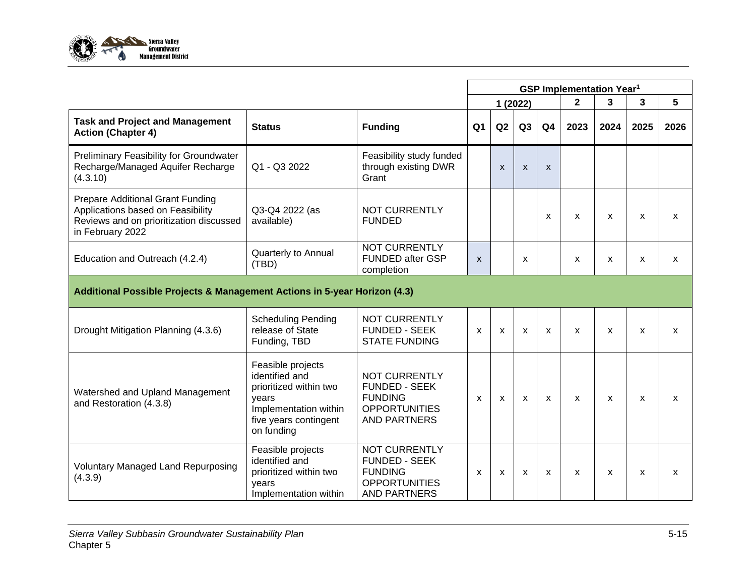

|                                                                                                                                      |                                                                                                                                        |                                                                                                               | <b>GSP Implementation Year<sup>1</sup></b> |              |                           |                           |              |      |              |      |
|--------------------------------------------------------------------------------------------------------------------------------------|----------------------------------------------------------------------------------------------------------------------------------------|---------------------------------------------------------------------------------------------------------------|--------------------------------------------|--------------|---------------------------|---------------------------|--------------|------|--------------|------|
|                                                                                                                                      |                                                                                                                                        |                                                                                                               | 1 (2022)                                   |              |                           |                           | $\mathbf{2}$ | 3    | $\mathbf{3}$ | 5    |
| <b>Task and Project and Management</b><br><b>Action (Chapter 4)</b>                                                                  | <b>Status</b>                                                                                                                          | <b>Funding</b>                                                                                                | Q <sub>1</sub>                             | Q2           | Q3                        | Q <sub>4</sub>            | 2023         | 2024 | 2025         | 2026 |
| Preliminary Feasibility for Groundwater<br>Recharge/Managed Aquifer Recharge<br>(4.3.10)                                             | Q1 - Q3 2022                                                                                                                           | Feasibility study funded<br>through existing DWR<br>Grant                                                     |                                            | $\mathsf{x}$ | $\boldsymbol{\mathsf{x}}$ | $\boldsymbol{\mathsf{x}}$ |              |      |              |      |
| Prepare Additional Grant Funding<br>Applications based on Feasibility<br>Reviews and on prioritization discussed<br>in February 2022 | Q3-Q4 2022 (as<br>available)                                                                                                           | <b>NOT CURRENTLY</b><br><b>FUNDED</b>                                                                         |                                            |              |                           | X                         | X            | X    | $\mathsf{x}$ | X    |
| Education and Outreach (4.2.4)                                                                                                       | Quarterly to Annual<br>(TBD)                                                                                                           | <b>NOT CURRENTLY</b><br><b>FUNDED after GSP</b><br>completion                                                 | $\mathsf{x}$                               |              | $\mathsf{x}$              |                           | X            | X    | $\mathsf{x}$ | X    |
| Additional Possible Projects & Management Actions in 5-year Horizon (4.3)                                                            |                                                                                                                                        |                                                                                                               |                                            |              |                           |                           |              |      |              |      |
| Drought Mitigation Planning (4.3.6)                                                                                                  | <b>Scheduling Pending</b><br>release of State<br>Funding, TBD                                                                          | <b>NOT CURRENTLY</b><br><b>FUNDED - SEEK</b><br><b>STATE FUNDING</b>                                          | $\mathsf{x}$                               | X            | $\mathsf{x}$              | X                         | X            | X    | $\mathsf{x}$ | X    |
| Watershed and Upland Management<br>and Restoration (4.3.8)                                                                           | Feasible projects<br>identified and<br>prioritized within two<br>years<br>Implementation within<br>five years contingent<br>on funding | <b>NOT CURRENTLY</b><br><b>FUNDED - SEEK</b><br><b>FUNDING</b><br><b>OPPORTUNITIES</b><br><b>AND PARTNERS</b> | X                                          | $\mathsf{x}$ | $\boldsymbol{\mathsf{x}}$ | X                         | X            | X    | $\mathsf{x}$ | X    |
| <b>Voluntary Managed Land Repurposing</b><br>(4.3.9)                                                                                 | Feasible projects<br>identified and<br>prioritized within two<br>years<br>Implementation within                                        | <b>NOT CURRENTLY</b><br><b>FUNDED - SEEK</b><br><b>FUNDING</b><br><b>OPPORTUNITIES</b><br><b>AND PARTNERS</b> | X                                          | X            | X                         | X                         | X            | X    | $\mathsf{x}$ | X    |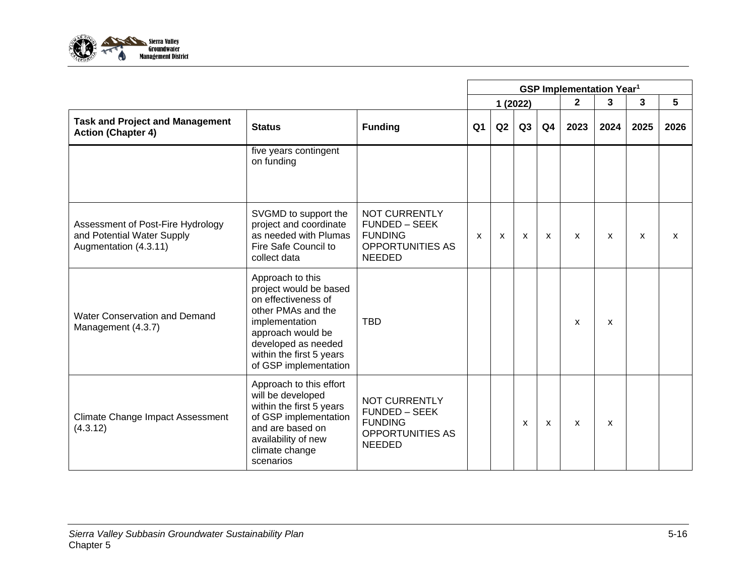

|                                                                                          |                                                                                                                                                                                                            |                                                                                                            | <b>GSP Implementation Year<sup>1</sup></b> |              |    |                |      |      |      |      |  |
|------------------------------------------------------------------------------------------|------------------------------------------------------------------------------------------------------------------------------------------------------------------------------------------------------------|------------------------------------------------------------------------------------------------------------|--------------------------------------------|--------------|----|----------------|------|------|------|------|--|
|                                                                                          |                                                                                                                                                                                                            |                                                                                                            | 1 (2022)                                   |              |    | $\mathbf{2}$   | 3    | 3    | 5    |      |  |
| <b>Task and Project and Management</b><br><b>Action (Chapter 4)</b>                      | <b>Status</b>                                                                                                                                                                                              | <b>Funding</b>                                                                                             | Q <sub>1</sub>                             | Q2           | Q3 | Q <sub>4</sub> | 2023 | 2024 | 2025 | 2026 |  |
|                                                                                          | five years contingent<br>on funding                                                                                                                                                                        |                                                                                                            |                                            |              |    |                |      |      |      |      |  |
| Assessment of Post-Fire Hydrology<br>and Potential Water Supply<br>Augmentation (4.3.11) | SVGMD to support the<br>project and coordinate<br>as needed with Plumas<br>Fire Safe Council to<br>collect data                                                                                            | <b>NOT CURRENTLY</b><br><b>FUNDED - SEEK</b><br><b>FUNDING</b><br><b>OPPORTUNITIES AS</b><br><b>NEEDED</b> | X                                          | $\mathsf{x}$ | X  | $\mathsf{x}$   | X    | X    | X    | X    |  |
| <b>Water Conservation and Demand</b><br>Management (4.3.7)                               | Approach to this<br>project would be based<br>on effectiveness of<br>other PMAs and the<br>implementation<br>approach would be<br>developed as needed<br>within the first 5 years<br>of GSP implementation | <b>TBD</b>                                                                                                 |                                            |              |    |                | X    | X    |      |      |  |
| <b>Climate Change Impact Assessment</b><br>(4.3.12)                                      | Approach to this effort<br>will be developed<br>within the first 5 years<br>of GSP implementation<br>and are based on<br>availability of new<br>climate change<br>scenarios                                | <b>NOT CURRENTLY</b><br><b>FUNDED - SEEK</b><br><b>FUNDING</b><br><b>OPPORTUNITIES AS</b><br><b>NEEDED</b> |                                            |              | X  | $\mathsf{x}$   | X    | X    |      |      |  |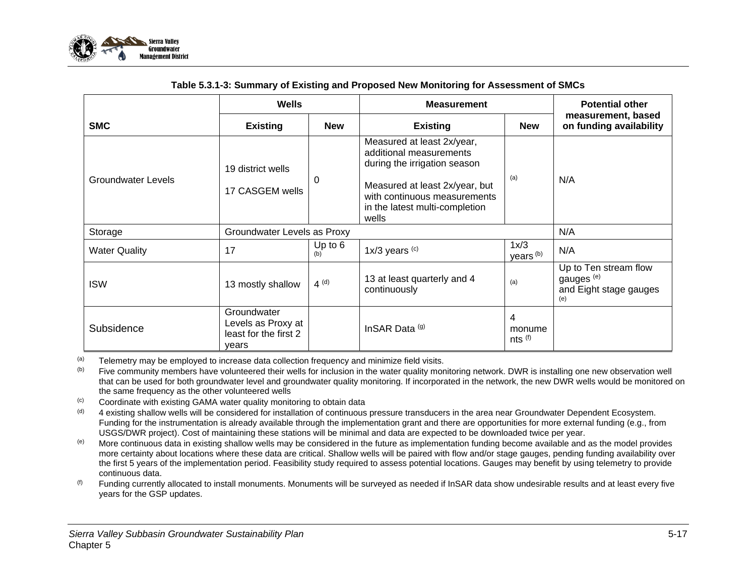

|                      | Wells                                                               |                  | <b>Measurement</b>                                                                                                                                                                                 | <b>Potential other</b>                           |                                                                                 |
|----------------------|---------------------------------------------------------------------|------------------|----------------------------------------------------------------------------------------------------------------------------------------------------------------------------------------------------|--------------------------------------------------|---------------------------------------------------------------------------------|
| <b>SMC</b>           | <b>Existing</b>                                                     | <b>New</b>       | measurement, based<br>on funding availability                                                                                                                                                      |                                                  |                                                                                 |
| Groundwater Levels   | 19 district wells<br>17 CASGEM wells                                | $\Omega$         | Measured at least 2x/year,<br>additional measurements<br>during the irrigation season<br>Measured at least 2x/year, but<br>with continuous measurements<br>in the latest multi-completion<br>wells | (a)                                              | N/A                                                                             |
| Storage              | Groundwater Levels as Proxy                                         |                  |                                                                                                                                                                                                    |                                                  | N/A                                                                             |
| <b>Water Quality</b> | 17                                                                  | Up to $6$<br>(b) | $1x/3$ years $(c)$                                                                                                                                                                                 | 1x/3<br>years <sup>(b)</sup>                     | N/A                                                                             |
| <b>ISW</b>           | 13 mostly shallow                                                   | $4^{(d)}$        | 13 at least quarterly and 4<br>continuously                                                                                                                                                        | (a)                                              | Up to Ten stream flow<br>gauges <sup>(e)</sup><br>and Eight stage gauges<br>(e) |
| Subsidence           | Groundwater<br>Levels as Proxy at<br>least for the first 2<br>vears |                  | InSAR Data (g)                                                                                                                                                                                     | 4<br>monume<br>$nts$ <sup><math>(f)</math></sup> |                                                                                 |

#### **Table 5.3.1-3: Summary of Existing and Proposed New Monitoring for Assessment of SMCs**

<span id="page-16-0"></span>(a) Telemetry may be employed to increase data collection frequency and minimize field visits.

(b) Five community members have volunteered their wells for inclusion in the water quality monitoring network. DWR is installing one new observation well that can be used for both groundwater level and groundwater quality monitoring. If incorporated in the network, the new DWR wells would be monitored on the same frequency as the other volunteered wells

- (c) Coordinate with existing GAMA water quality monitoring to obtain data
- (d) 4 existing shallow wells will be considered for installation of continuous pressure transducers in the area near Groundwater Dependent Ecosystem. Funding for the instrumentation is already available through the implementation grant and there are opportunities for more external funding (e.g., from USGS/DWR project). Cost of maintaining these stations will be minimal and data are expected to be downloaded twice per year.
- (e) More continuous data in existing shallow wells may be considered in the future as implementation funding become available and as the model provides more certainty about locations where these data are critical. Shallow wells will be paired with flow and/or stage gauges, pending funding availability over the first 5 years of the implementation period. Feasibility study required to assess potential locations. Gauges may benefit by using telemetry to provide continuous data.
- (f) Funding currently allocated to install monuments. Monuments will be surveyed as needed if InSAR data show undesirable results and at least every five years for the GSP updates.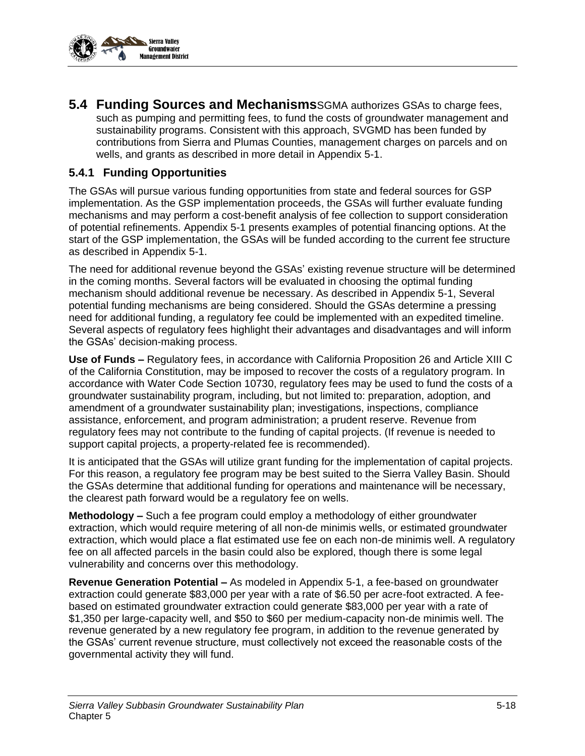

**5.4 Funding Sources and Mechanisms**SGMA authorizes GSAs to charge fees, such as pumping and permitting fees, to fund the costs of groundwater management and sustainability programs. Consistent with this approach, SVGMD has been funded by contributions from Sierra and Plumas Counties, management charges on parcels and on wells, and grants as described in more detail in Appendix 5-1.

### **5.4.1 Funding Opportunities**

The GSAs will pursue various funding opportunities from state and federal sources for GSP implementation. As the GSP implementation proceeds, the GSAs will further evaluate funding mechanisms and may perform a cost-benefit analysis of fee collection to support consideration of potential refinements. Appendix 5-1 presents examples of potential financing options. At the start of the GSP implementation, the GSAs will be funded according to the current fee structure as described in Appendix 5-1.

The need for additional revenue beyond the GSAs' existing revenue structure will be determined in the coming months. Several factors will be evaluated in choosing the optimal funding mechanism should additional revenue be necessary. As described in Appendix 5-1, Several potential funding mechanisms are being considered. Should the GSAs determine a pressing need for additional funding, a regulatory fee could be implemented with an expedited timeline. Several aspects of regulatory fees highlight their advantages and disadvantages and will inform the GSAs' decision-making process.

**Use of Funds –** Regulatory fees, in accordance with California Proposition 26 and Article XIII C of the California Constitution, may be imposed to recover the costs of a regulatory program. In accordance with Water Code Section 10730, regulatory fees may be used to fund the costs of a groundwater sustainability program, including, but not limited to: preparation, adoption, and amendment of a groundwater sustainability plan; investigations, inspections, compliance assistance, enforcement, and program administration; a prudent reserve. Revenue from regulatory fees may not contribute to the funding of capital projects. (If revenue is needed to support capital projects, a property-related fee is recommended).

It is anticipated that the GSAs will utilize grant funding for the implementation of capital projects. For this reason, a regulatory fee program may be best suited to the Sierra Valley Basin. Should the GSAs determine that additional funding for operations and maintenance will be necessary, the clearest path forward would be a regulatory fee on wells.

**Methodology –** Such a fee program could employ a methodology of either groundwater extraction, which would require metering of all non-de minimis wells, or estimated groundwater extraction, which would place a flat estimated use fee on each non-de minimis well. A regulatory fee on all affected parcels in the basin could also be explored, though there is some legal vulnerability and concerns over this methodology.

**Revenue Generation Potential –** As modeled in Appendix 5-1, a fee-based on groundwater extraction could generate \$83,000 per year with a rate of \$6.50 per acre-foot extracted. A feebased on estimated groundwater extraction could generate \$83,000 per year with a rate of \$1,350 per large-capacity well, and \$50 to \$60 per medium-capacity non-de minimis well. The revenue generated by a new regulatory fee program, in addition to the revenue generated by the GSAs' current revenue structure, must collectively not exceed the reasonable costs of the governmental activity they will fund.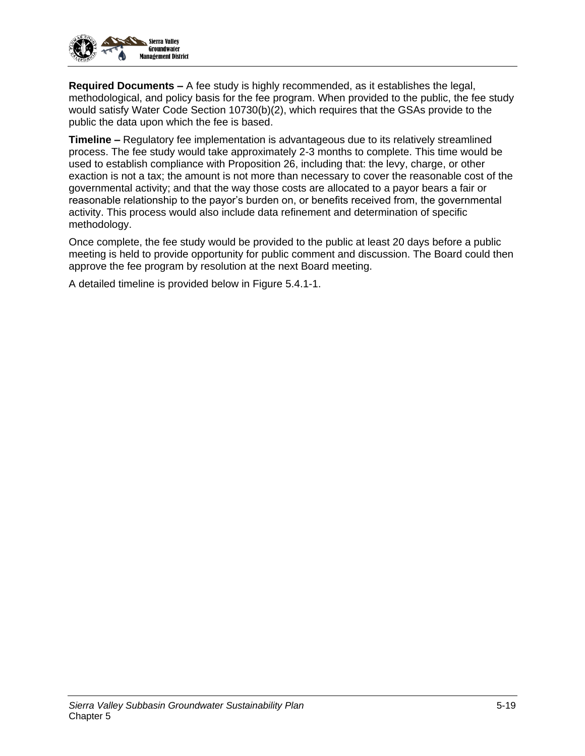

**Required Documents –** A fee study is highly recommended, as it establishes the legal, methodological, and policy basis for the fee program. When provided to the public, the fee study would satisfy Water Code Section 10730(b)(2), which requires that the GSAs provide to the public the data upon which the fee is based.

**Timeline –** Regulatory fee implementation is advantageous due to its relatively streamlined process. The fee study would take approximately 2-3 months to complete. This time would be used to establish compliance with Proposition 26, including that: the levy, charge, or other exaction is not a tax; the amount is not more than necessary to cover the reasonable cost of the governmental activity; and that the way those costs are allocated to a payor bears a fair or reasonable relationship to the payor's burden on, or benefits received from, the governmental activity. This process would also include data refinement and determination of specific methodology.

Once complete, the fee study would be provided to the public at least 20 days before a public meeting is held to provide opportunity for public comment and discussion. The Board could then approve the fee program by resolution at the next Board meeting.

A detailed timeline is provided below in [Figure 5.4.1-1.](#page-19-0)